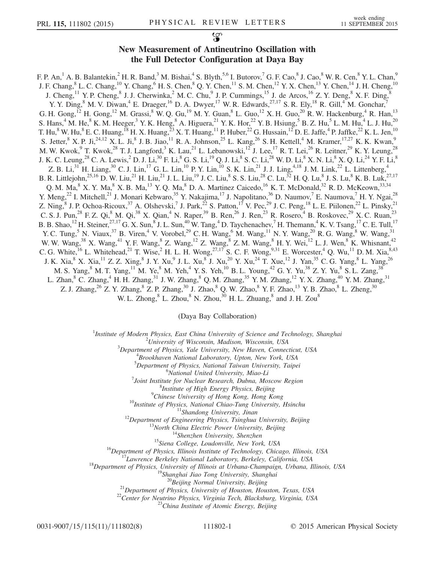## New Measurement of Antineutrino Oscillation with the Full Detector Configuration at Daya Bay

F. P. An,<sup>1</sup> A. B. Balantekin,<sup>2</sup> H. R. Band,<sup>3</sup> M. Bishai,<sup>4</sup> S. Blyth,<sup>5,6</sup> I. Butorov,<sup>7</sup> G. F. Cao,<sup>8</sup> J. Cao,<sup>8</sup> W. R. Cen,<sup>8</sup> Y. L. Chan,<sup>9</sup> J. F. Chang,  $8$  L. C. Chang,  $10$  Y. Chang,  $6$  H. S. Chen,  $8$  Q. Y. Chen,  $11$  S. M. Chen,  $12$  Y. X. Chen,  $13$  Y. Chen,  $14$  J. H. Cheng,  $10$ J. Cheng,  $^{11}$  Y. P. Cheng,  $^{8}$  J. J. Cherwinka,  $^{2}$  M. C. Chu,  $^{9}$  J. P. Cummings,  $^{15}$  J. de Arcos,  $^{16}$  Z. Y. Deng,  $^{8}$  X. F. Ding,  $^{8}$ Y. Y. Ding,  $8$  M. V. Diwan,  $4$  E. Draeger,  $^{16}$  D. A. Dwyer,  $^{17}$  W. R. Edwards,  $^{27,17}$  S. R. Ely,  $^{18}$  R. Gill,  $4$  M. Gonchar,  $^{7}$ G. H. Gong,  $^{12}$  H. Gong,  $^{12}$  M. Grassi,  $^{8}$  W. Q. Gu,  $^{19}$  M. Y. Guan,  $^{8}$  L. Guo,  $^{12}$  X. H. Guo,  $^{20}$  R. W. Hackenburg,  $^{4}$  R. Han,  $^{13}$ S. Hans,<sup>4</sup> M. He,<sup>8</sup> K. M. Heeger,<sup>3</sup> Y. K. Heng,<sup>8</sup> A. Higuera,<sup>21</sup> Y. K. Hor,<sup>22</sup> Y. B. Hsiung,<sup>5</sup> B. Z. Hu,<sup>5</sup> L. M. Hu,<sup>4</sup> L. J. Hu,<sup>20</sup> T. Hu,<sup>8</sup> W. Hu,<sup>8</sup> E. C. Huang,<sup>18</sup> H. X. Huang,<sup>23</sup> X. T. Huang,<sup>11</sup> P. Huber,<sup>22</sup> G. Hussain,<sup>12</sup> D. E. Jaffe,<sup>4</sup> P. Jaffke,<sup>22</sup> K. L. Jen,<sup>10</sup> S. Jetter,  $K^8$  X. P. Ji,  $^{24,12}$  X. L. Ji,  $^8$  J. B. Jiao,  $^{11}$  R. A. Johnson,  $^{25}$  L. Kang,  $^{26}$  S. H. Kettell,  $^4$  M. Kramer,  $^{17,27}$  K. K. Kwan,  $^9$ M. W. Kwok,  $9$  T. Kwok,  $^{28}$  T. J. Langford,  $^3$  K. Lau,  $^{21}$  L. Lebanowski,  $^{12}$  J. Lee,  $^{17}$  R. T. Lei,  $^{26}$  R. Leitner,  $^{29}$  K. Y. Leung,  $^{28}$ J. K. C. Leung, $^{28}$  C. A. Lewis, $^2$  D. J. Li, $^{30}$  F. Li, $^8$  G. S. Li, $^{19}$  Q. J. Li, $^8$  S. C. Li, $^{28}$  W. D. Li, $^8$  X. N. Li, $^8$  X. Q. Li, $^{24}$  Y. F. Li, $^8$ Z. B. Li,<sup>31</sup> H. Liang,<sup>30</sup> C. J. Lin,<sup>17</sup> G. L. Lin,<sup>10</sup> P. Y. Lin,<sup>10</sup> S. K. Lin,<sup>21</sup> J. J. Ling,<sup>4,18</sup> J. M. Link,<sup>22</sup> L. Littenberg,<sup>4</sup> B. R. Littlejohn, $^{25,16}$  D. W. Liu, $^{21}$  H. Liu, $^{21}$  J. L. Liu, $^{19}$  J. C. Liu, $^8$  S. S. Liu, $^{28}$  C. Lu, $^{32}$  H. Q. Lu, $^8$  J. S. Lu, $^8$  K. B. Luk, $^{27,17}$ Q. M. Ma,  $8$  X. Y. Ma,  $8$  X. B. Ma,  $13$  Y. Q. Ma,  $8$  D. A. Martinez Caicedo,  $16$  K. T. McDonald,  $32$  R. D. McKeown,  $33,34$ Y. Meng,<sup>22</sup> I. Mitchell,<sup>21</sup> J. Monari Kebwaro,<sup>35</sup> Y. Nakajima,<sup>17</sup> J. Napolitano,<sup>36</sup> D. Naumov,<sup>7</sup> E. Naumova,<sup>7</sup> H. Y. Ngai,<sup>28</sup> Z. Ning,<sup>8</sup> J. P. Ochoa-Ricoux,<sup>37</sup> A. Olshevski,<sup>7</sup> J. Park,<sup>22</sup> S. Patton,<sup>17</sup> V. Pec,<sup>29</sup> J. C. Peng,<sup>18</sup> L. E. Piilonen,<sup>22</sup> L. Pinsky,<sup>21</sup> C. S. J. Pun,<sup>28</sup> F. Z. Qi,<sup>8</sup> M. Qi,<sup>38</sup> X. Qian,<sup>4</sup> N. Raper,<sup>39</sup> B. Ren,<sup>26</sup> J. Ren,<sup>23</sup> R. Rosero,<sup>4</sup> B. Roskovec,<sup>29</sup> X. C. Ruan,<sup>23</sup> B. B. Shao,  $^{12}$  H. Steiner,  $^{27,17}$  G. X. Sun,  $^{8}$  J. L. Sun,  $^{40}$  W. Tang,  $^{4}$  D. Taychenachev,  $^{7}$  H. Themann,  $^{4}$  K. V. Tsang,  $^{17}$  C. E. Tull,  $^{17}$ Y. C. Tung,<sup>5</sup> N. Viaux,<sup>37</sup> B. Viren,<sup>4</sup> V. Vorobel,<sup>29</sup> C. H. Wang,<sup>6</sup> M. Wang,<sup>11</sup> N. Y. Wang,<sup>20</sup> R. G. Wang,<sup>8</sup> W. Wang,<sup>31</sup> W. W. Wang,<sup>38</sup> X. Wang,<sup>41</sup> Y. F. Wang,<sup>8</sup> Z. Wang,<sup>12</sup> Z. Wang,<sup>8</sup> Z. M. Wang,<sup>8</sup> H. Y. Wei,<sup>12</sup> L. J. Wen,<sup>8</sup> K. Whisnant,<sup>42</sup> C. G. White,<sup>16</sup> L. Whitehead,<sup>21</sup> T. Wise,<sup>2</sup> H. L. H. Wong,<sup>27,17</sup> S. C. F. Wong,<sup>9,31</sup> E. Worcester,<sup>4</sup> Q. Wu,<sup>11</sup> D. M. Xia,<sup>8,43</sup> J. K. Xia, $^8$  X. Xia, $^{11}$  Z. Z. Xing, $^8$  J. Y. Xu, $^9$  J. L. Xu, $^8$  J. Xu, $^{20}$  Y. Xu, $^{24}$  T. Xue, $^{12}$  J. Yan, $^{35}$  C. G. Yang, $^8$  L. Yang, $^{26}$ M. S. Yang, $^8$  M. T. Yang, $^{11}$  M. Ye, $^8$  M. Yeh, $^4$  Y. S. Yeh, $^{10}$  B. L. Young, $^{42}$  G. Y. Yu, $^{38}$  Z. Y. Yu, $^8$  S. L. Zang, $^{38}$ L. Zhan,<sup>8</sup> C. Zhang,<sup>4</sup> H. H. Zhang,<sup>31</sup> J. W. Zhang,<sup>8</sup> Q. M. Zhang,<sup>35</sup> Y. M. Zhang,<sup>12</sup> Y. X. Zhang,<sup>40</sup> Y. M. Zhang,<sup>31</sup> Z. J. Zhang,<sup>26</sup> Z. Y. Zhang,<sup>8</sup> Z. P. Zhang,<sup>30</sup> J. Zhao,<sup>8</sup> Q. W. Zhao,<sup>8</sup> Y. F. Zhao,<sup>13</sup> Y. B. Zhao,<sup>8</sup> L. Zheng,<sup>30</sup> W. L. Zhong,  $8^8$  L. Zhou,  $8^8$  N. Zhou,  $30^9$  H. L. Zhuang,  $8^8$  and J. H. Zou $8^8$ 

(Daya Bay Collaboration)

<sup>1</sup>Institute of Modern Physics, East China University of Science and Technology, Shanghai

 $^{2}$ University of Wisconsin, Madison, Wisconsin, USA

 $3$ Department of Physics, Yale University, New Haven, Connecticut, USA

Brookhaven National Laboratory, Upton, New York, USA

<sup>5</sup>Department of Physics, National Taiwan University, Taipei

 $6$ National United University, Miao-Li

 $\delta$ Joint Institute for Nuclear Research, Dubna, Moscow Region

<sup>8</sup>Institute of High Energy Physics, Beijing<br><sup>9</sup>Chinese University of Hong Kong, Hong Kong

*<sup>9</sup>Chinese University of Hong Kong, Hong Kong*<br>
<sup>10</sup>*Institute of Physics, National Chiao-Tung University, Hsinchu*<br>
<sup>11</sup>*Shandong University, Jinan*<br>
<sup>12</sup>*Department of Engineering Physics, Tsinghuati University, Beijin* 

0031-9007/15/115(11)/111802(8) 111802-1 © 2015 American Physical Society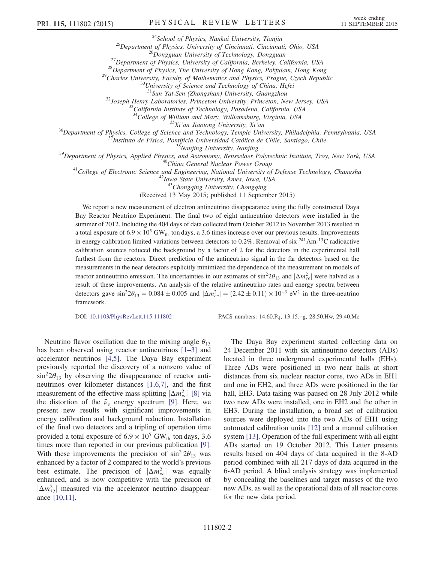<sup>24</sup>School of Physics, Nankai University, Tianjin<br><sup>25</sup>Department of Physics, University of Cincinnati, Cincinnati, Ohio, USA<br><sup>26</sup>Dongguan University of Technology, Dongguan<br><sup>27</sup>Department of Physics, University of Califor

<sup>32</sup>Joseph Henry Laboratories, Princeton University, Princeton, New Jersey, USA<br><sup>33</sup>California Institute of Technology, Pasadena, California, USA<br><sup>34</sup>College of William and Mary, Williamsburg, Virginia, USA

<sup>35</sup>*Xi'an Jiaotong University, Xi'an*<br><sup>36</sup>Department of Physics, College of Science and Technology, Temple University, Philadelphia, Pennsylvania, USA<br><sup>37</sup>Instituto de Física, Pontificia Universidad Católica de Chile, Sa

<sup>43</sup>Chongqing University, Chongqing

(Received 13 May 2015; published 11 September 2015)

We report a new measurement of electron antineutrino disappearance using the fully constructed Daya Bay Reactor Neutrino Experiment. The final two of eight antineutrino detectors were installed in the summer of 2012. Including the 404 days of data collected from October 2012 to November 2013 resulted in a total exposure of  $6.9 \times 10^5$  GW<sub>th</sub> ton days, a 3.6 times increase over our previous results. Improvements in energy calibration limited variations between detectors to  $0.2\%$ . Removal of six  $^{241}Am^{-13}C$  radioactive calibration sources reduced the background by a factor of 2 for the detectors in the experimental hall furthest from the reactors. Direct prediction of the antineutrino signal in the far detectors based on the measurements in the near detectors explicitly minimized the dependence of the measurement on models of reactor antineutrino emission. The uncertainties in our estimates of  $\sin^2 2\theta_{13}$  and  $|\Delta m_{ee}^2|$  were halved as a result of these improvements. An analysis of the relative antineutrino rates and energy spectra between detectors gave  $\sin^2 2\theta_{13} = 0.084 \pm 0.005$  and  $|\Delta m_{ee}^2| = (2.42 \pm 0.11) \times 10^{-3}$  eV<sup>2</sup> in the three-neutrino framework.

DOI: [10.1103/PhysRevLett.115.111802](http://dx.doi.org/10.1103/PhysRevLett.115.111802) PACS numbers: 14.60.Pq, 13.15.+g, 28.50.Hw, 29.40.Mc

Neutrino flavor oscillation due to the mixing angle  $\theta_{13}$ has been observed using reactor antineutrinos [1–[3\]](#page-6-0) and accelerator neutrinos [\[4,5\]](#page-6-1). The Daya Bay experiment previously reported the discovery of a nonzero value of  $\sin^2 2\theta_{13}$  by observing the disappearance of reactor antineutrinos over kilometer distances [\[1,6,7\],](#page-6-0) and the first measurement of the effective mass splitting  $|\Delta m_{ee}^2|$  [\[8\]](#page-6-2) via the distortion of the  $\bar{\nu}_e$  energy spectrum [\[9\]](#page-7-0). Here, we present new results with significant improvements in energy calibration and background reduction. Installation of the final two detectors and a tripling of operation time provided a total exposure of  $6.9 \times 10^5$  GW<sub>th</sub> ton days, 3.6 times more than reported in our previous publication [\[9\]](#page-7-0). With these improvements the precision of  $\sin^2 2\theta_{13}$  was enhanced by a factor of 2 compared to the world's previous best estimate. The precision of  $|\Delta m_{ee}^2|$  was equally enhanced, and is now competitive with the precision of  $|\Delta m_{32}^2|$  measured via the accelerator neutrino disappearance [\[10,11\]](#page-7-1).

The Daya Bay experiment started collecting data on 24 December 2011 with six antineutrino detectors (ADs) located in three underground experimental halls (EHs). Three ADs were positioned in two near halls at short distances from six nuclear reactor cores, two ADs in EH1 and one in EH2, and three ADs were positioned in the far hall, EH3. Data taking was paused on 28 July 2012 while two new ADs were installed, one in EH2 and the other in EH3. During the installation, a broad set of calibration sources were deployed into the two ADs of EH1 using automated calibration units [\[12\]](#page-7-2) and a manual calibration system [\[13\].](#page-7-3) Operation of the full experiment with all eight ADs started on 19 October 2012. This Letter presents results based on 404 days of data acquired in the 8-AD period combined with all 217 days of data acquired in the 6-AD period. A blind analysis strategy was implemented by concealing the baselines and target masses of the two new ADs, as well as the operational data of all reactor cores for the new data period.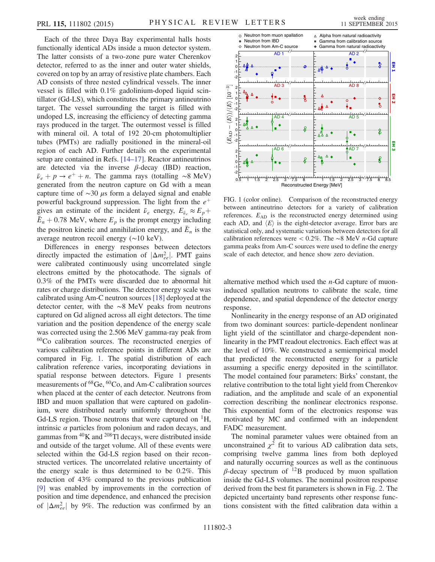Each of the three Daya Bay experimental halls hosts functionally identical ADs inside a muon detector system. The latter consists of a two-zone pure water Cherenkov detector, referred to as the inner and outer water shields, covered on top by an array of resistive plate chambers. Each AD consists of three nested cylindrical vessels. The inner vessel is filled with 0.1% gadolinium-doped liquid scintillator (Gd-LS), which constitutes the primary antineutrino target. The vessel surrounding the target is filled with undoped LS, increasing the efficiency of detecting gamma rays produced in the target. The outermost vessel is filled with mineral oil. A total of 192 20-cm photomultiplier tubes (PMTs) are radially positioned in the mineral-oil region of each AD. Further details on the experimental setup are contained in Refs. [14–[17\].](#page-7-4) Reactor antineutrinos are detected via the inverse  $\beta$ -decay (IBD) reaction,  $\bar{\nu}_e + p \rightarrow e^+ + n$ . The gamma rays (totalling ∼8 MeV) generated from the neutron capture on Gd with a mean capture time of ∼30 μs form a delayed signal and enable powerful background suppression. The light from the  $e^+$ gives an estimate of the incident  $\bar{\nu}_e$  energy,  $E_{\bar{\nu}_e} \approx E_p +$  $\bar{E}_n$  + 0.78 MeV, where  $E_p$  is the prompt energy including the positron kinetic and annihilation energy, and  $\bar{E}_n$  is the average neutron recoil energy (∼10 keV).

Differences in energy responses between detectors directly impacted the estimation of  $|\Delta m_{ee}^2|$ . PMT gains were calibrated continuously using uncorrelated single electrons emitted by the photocathode. The signals of 0.3% of the PMTs were discarded due to abnormal hit rates or charge distributions. The detector energy scale was calibrated using Am-C neutron sources [\[18\]](#page-7-5) deployed at the detector center, with the ∼8 MeV peaks from neutrons captured on Gd aligned across all eight detectors. The time variation and the position dependence of the energy scale was corrected using the 2.506 MeV gamma-ray peak from <sup>60</sup>Co calibration sources. The reconstructed energies of various calibration reference points in different ADs are compared in Fig. [1.](#page-2-0) The spatial distribution of each calibration reference varies, incorporating deviations in spatial response between detectors. Figure [1](#page-2-0) presents measurements of <sup>68</sup>Ge, <sup>60</sup>Co, and Am-C calibration sources when placed at the center of each detector. Neutrons from IBD and muon spallation that were captured on gadolinium, were distributed nearly uniformly throughout the Gd-LS region. Those neutrons that were captured on  ${}^{1}H$ , intrinsic  $\alpha$  particles from polonium and radon decays, and gammas from  ${}^{40}$ K and  ${}^{208}$ Tl decays, were distributed inside and outside of the target volume. All of these events were selected within the Gd-LS region based on their reconstructed vertices. The uncorrelated relative uncertainty of the energy scale is thus determined to be 0.2%. This reduction of 43% compared to the previous publication [\[9\]](#page-7-0) was enabled by improvements in the correction of position and time dependence, and enhanced the precision of  $|\Delta m_{ee}^2|$  by 9%. The reduction was confirmed by an

<span id="page-2-0"></span>

FIG. 1 (color online). Comparison of the reconstructed energy between antineutrino detectors for a variety of calibration references.  $E_{AD}$  is the reconstructed energy determined using each AD, and  $\langle E \rangle$  is the eight-detector average. Error bars are statistical only, and systematic variations between detectors for all calibration references were < 0.2%. The ∼8 MeV n-Gd capture gamma peaks from Am-C sources were used to define the energy scale of each detector, and hence show zero deviation.

alternative method which used the n-Gd capture of muoninduced spallation neutrons to calibrate the scale, time dependence, and spatial dependence of the detector energy response.

Nonlinearity in the energy response of an AD originated from two dominant sources: particle-dependent nonlinear light yield of the scintillator and charge-dependent nonlinearity in the PMT readout electronics. Each effect was at the level of 10%. We constructed a semiempirical model that predicted the reconstructed energy for a particle assuming a specific energy deposited in the scintillator. The model contained four parameters: Birks' constant, the relative contribution to the total light yield from Cherenkov radiation, and the amplitude and scale of an exponential correction describing the nonlinear electronics response. This exponential form of the electronics response was motivated by MC and confirmed with an independent FADC measurement.

The nominal parameter values were obtained from an unconstrained  $\chi^2$  fit to various AD calibration data sets, comprising twelve gamma lines from both deployed and naturally occurring sources as well as the continuous  $β$ -decay spectrum of <sup>12</sup>B produced by muon spallation inside the Gd-LS volumes. The nominal positron response derived from the best fit parameters is shown in Fig. [2.](#page-3-0) The depicted uncertainty band represents other response functions consistent with the fitted calibration data within a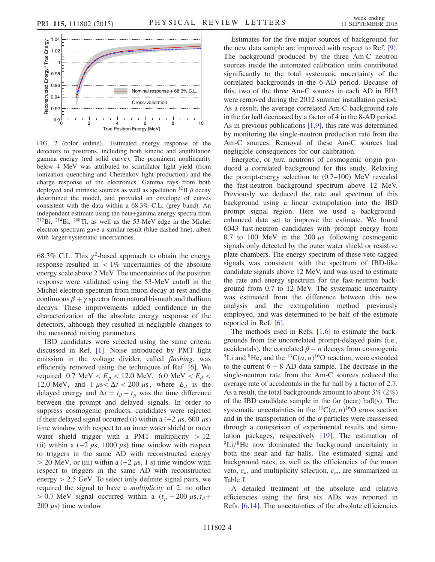<span id="page-3-0"></span>

FIG. 2 (color online). Estimated energy response of the detectors to positrons, including both kinetic and annihilation gamma energy (red solid curve). The prominent nonlinearity below 4 MeV was attributed to scintillator light yield (from ionization quenching and Cherenkov light production) and the charge response of the electronics. Gamma rays from both deployed and intrinsic sources as well as spallation  $^{12}B \beta$  decay determined the model, and provided an envelope of curves consistent with the data within a 68.3% C.L. (grey band). An independent estimate using the beta+gamma energy spectra from  $212Bi$ ,  $214Bi$ ,  $208Ti$ , as well as the 53-MeV edge in the Michel electron spectrum gave a similar result (blue dashed line), albeit with larger systematic uncertainties.

68.3% C.L. This  $\chi^2$ -based approach to obtain the energy response resulted in  $\langle 1\%$  uncertainties of the absolute energy scale above 2 MeV. The uncertainties of the positron response were validated using the 53-MeV cutoff in the Michel electron spectrum from muon decay at rest and the continuous  $\beta + \gamma$  spectra from natural bismuth and thallium decays. These improvements added confidence in the characterization of the absolute energy response of the detectors, although they resulted in negligible changes to the measured mixing parameters.

IBD candidates were selected using the same criteria discussed in Ref. [\[1\].](#page-6-0) Noise introduced by PMT light emission in the voltage divider, called *flashing*, was efficiently removed using the techniques of Ref. [\[6\].](#page-6-3) We required 0.7 MeV <  $E_p$  < 12.0 MeV, 6.0 MeV <  $E_d$  < 12.0 MeV, and  $1 \mu s < \Delta t < 200 \mu s$ , where  $E_d$  is the delayed energy and  $\Delta t = t_d - t_p$  was the time difference between the prompt and delayed signals. In order to suppress cosmogenic products, candidates were rejected if their delayed signal occurred (i) within a  $(-2 \mu s, 600 \mu s)$ time window with respect to an inner water shield or outer water shield trigger with a PMT multiplicity  $> 12$ , (ii) within a  $(-2 \mu s, 1000 \mu s)$  time window with respect to triggers in the same AD with reconstructed energy  $> 20$  MeV, or (iii) within a ( $-2 \mu s$ , 1 s) time window with respect to triggers in the same AD with reconstructed energy  $> 2.5$  GeV. To select only definite signal pairs, we required the signal to have a multiplicity of 2: no other  $> 0.7$  MeV signal occurred within a  $(t_p - 200 \mu s, t_d +$ 200  $\mu$ s) time window.

Estimates for the five major sources of background for the new data sample are improved with respect to Ref. [\[9\]](#page-7-0). The background produced by the three Am-C neutron sources inside the automated calibration units contributed significantly to the total systematic uncertainty of the correlated backgrounds in the 6-AD period. Because of this, two of the three Am-C sources in each AD in EH3 were removed during the 2012 summer installation period. As a result, the average correlated Am-C background rate in the far hall decreased by a factor of 4 in the 8-AD period. As in previous publications [\[1,9\],](#page-6-0) this rate was determined by monitoring the single-neutron production rate from the Am-C sources. Removal of these Am-C sources had negligible consequences for our calibration.

Energetic, or fast, neutrons of cosmogenic origin produced a correlated background for this study. Relaxing the prompt-energy selection to (0.7–100) MeV revealed the fast-neutron background spectrum above 12 MeV. Previously we deduced the rate and spectrum of this background using a linear extrapolation into the IBD prompt signal region. Here we used a backgroundenhanced data set to improve the estimate. We found 6043 fast-neutron candidates with prompt energy from 0.7 to 100 MeV in the 200  $\mu$ s following cosmogenic signals only detected by the outer water shield or resistive plate chambers. The energy spectrum of these veto-tagged signals was consistent with the spectrum of IBD-like candidate signals above 12 MeV, and was used to estimate the rate and energy spectrum for the fast-neutron background from 0.7 to 12 MeV. The systematic uncertainty was estimated from the difference between this new analysis and the extrapolation method previously employed, and was determined to be half of the estimate reported in Ref. [\[6\]](#page-6-3).

The methods used in Refs. [\[1,6\]](#page-6-0) to estimate the backgrounds from the uncorrelated prompt-delayed pairs (i.e., accidentals), the correlated  $\beta - n$  decays from cosmogenic <sup>9</sup>Li and <sup>8</sup>He, and the <sup>13</sup>C( $\alpha$ , n)<sup>16</sup>O reaction, were extended to the current  $6 + 8$  AD data sample. The decrease in the single-neutron rate from the Am-C sources reduced the average rate of accidentals in the far hall by a factor of 2.7. As a result, the total backgrounds amount to about 3% (2%) of the IBD candidate sample in the far (near) hall(s). The systematic uncertainties in the <sup>13</sup>C $(\alpha, n)$ <sup>16</sup>O cross section and in the transportation of the  $\alpha$  particles were reassessed through a comparison of experimental results and simulation packages, respectively [\[19\].](#page-7-6) The estimation of  ${}^{9}$ Li/ ${}^{8}$ He now dominated the background uncertainty in both the near and far halls. The estimated signal and background rates, as well as the efficiencies of the muon veto,  $\epsilon_{\mu}$ , and multiplicity selection,  $\epsilon_{m}$ , are summarized in Table [I.](#page-4-0)

A detailed treatment of the absolute and relative efficiencies using the first six ADs was reported in Refs. [\[6,14\]](#page-6-3). The uncertainties of the absolute efficiencies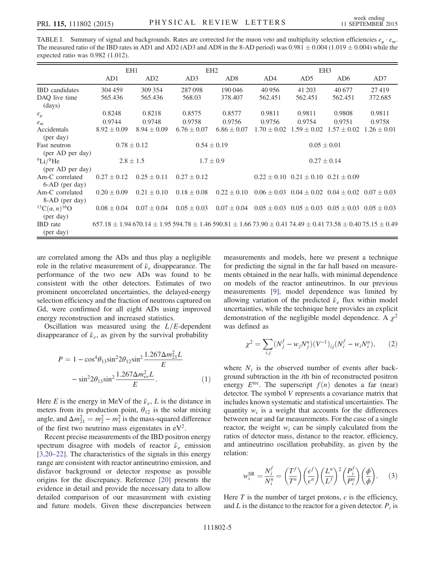<span id="page-4-0"></span>TABLE I. Summary of signal and backgrounds. Rates are corrected for the muon veto and multiplicity selection efficiencies  $\varepsilon_u \cdot \varepsilon_m$ . The measured ratio of the IBD rates in AD1 and AD2 (AD3 and AD8 in the 8-AD period) was  $0.981 \pm 0.004$  (1.019  $\pm$  0.004) while the expected ratio was 0.982 (1.012).

|                                                             | EH <sub>1</sub>                                                                                                                      |                 | EH <sub>2</sub> |                 | EH <sub>3</sub> |                                                 |                                                                 |                 |
|-------------------------------------------------------------|--------------------------------------------------------------------------------------------------------------------------------------|-----------------|-----------------|-----------------|-----------------|-------------------------------------------------|-----------------------------------------------------------------|-----------------|
|                                                             | AD1                                                                                                                                  | AD <sub>2</sub> | AD3             | AD <sub>8</sub> | AD4             | AD <sub>5</sub>                                 | AD <sub>6</sub>                                                 | AD7             |
| <b>IBD</b> candidates                                       | 304 459                                                                                                                              | 309 354         | 287098          | 190 046         | 40 956          | 41 203                                          | 40 677                                                          | 27419           |
| DAQ live time<br>(days)                                     | 565.436                                                                                                                              | 565.436         | 568.03          | 378.407         | 562.451         | 562.451                                         | 562.451                                                         | 372.685         |
| $\varepsilon_\mu$                                           | 0.8248                                                                                                                               | 0.8218          | 0.8575          | 0.8577          | 0.9811          | 0.9811                                          | 0.9808                                                          | 0.9811          |
| $\varepsilon_m$                                             | 0.9744                                                                                                                               | 0.9748          | 0.9758          | 0.9756          | 0.9756          | 0.9754                                          | 0.9751                                                          | 0.9758          |
| Accidentals<br>(per day)                                    | $8.92 \pm 0.09$                                                                                                                      | $8.94 \pm 0.09$ | $6.76 \pm 0.07$ | $6.86 \pm 0.07$ | $1.70 \pm 0.02$ | $1.59 \pm 0.02$                                 | $1.57 \pm 0.02$                                                 | $1.26 \pm 0.01$ |
| Fast neutron<br>(per AD per day)                            | $0.78 \pm 0.12$                                                                                                                      |                 | $0.54 \pm 0.19$ |                 | $0.05 \pm 0.01$ |                                                 |                                                                 |                 |
| $^{9}$ Li/ $^{8}$ He<br>(per AD per day)                    | $2.8 \pm 1.5$                                                                                                                        |                 | $1.7 \pm 0.9$   |                 | $0.27 \pm 0.14$ |                                                 |                                                                 |                 |
| Am-C correlated<br>6-AD (per day)                           | $0.27 \pm 0.12$                                                                                                                      | $0.25 \pm 0.11$ | $0.27 \pm 0.12$ |                 |                 | $0.22 \pm 0.10$ $0.21 \pm 0.10$ $0.21 \pm 0.09$ |                                                                 |                 |
| Am-C correlated<br>8-AD (per day)                           | $0.20 \pm 0.09$                                                                                                                      | $0.21 \pm 0.10$ | $0.18 \pm 0.08$ | $0.22 \pm 0.10$ |                 | $0.06 \pm 0.03$ $0.04 \pm 0.02$                 | $0.04 \pm 0.02$ $0.07 \pm 0.03$                                 |                 |
| <sup>13</sup> C( $\alpha$ , n) <sup>16</sup> O<br>(per day) | $0.08 \pm 0.04$                                                                                                                      | $0.07 \pm 0.04$ | $0.05 \pm 0.03$ | $0.07 \pm 0.04$ |                 |                                                 | $0.05 \pm 0.03$ $0.05 \pm 0.03$ $0.05 \pm 0.03$ $0.05 \pm 0.03$ |                 |
| <b>IBD</b> rate<br>(per day)                                | $657.18 \pm 1.94\,670.14 \pm 1.95\,594.78 \pm 1.46\,590.81 \pm 1.66\,73.90 \pm 0.41\,74.49 \pm 0.41\,73.58 \pm 0.40\,75.15 \pm 0.49$ |                 |                 |                 |                 |                                                 |                                                                 |                 |

are correlated among the ADs and thus play a negligible role in the relative measurement of  $\bar{\nu}_e$  disappearance. The performance of the two new ADs was found to be consistent with the other detectors. Estimates of two prominent uncorrelated uncertainties, the delayed-energy selection efficiency and the fraction of neutrons captured on Gd, were confirmed for all eight ADs using improved energy reconstruction and increased statistics.

<span id="page-4-1"></span>Oscillation was measured using the  $L/E$ -dependent disappearance of  $\bar{\nu}_e$ , as given by the survival probability

$$
P = 1 - \cos^{4} \theta_{13} \sin^{2} 2\theta_{12} \sin^{2} \frac{1.267 \Delta m_{21}^{2} L}{E}
$$

$$
- \sin^{2} 2\theta_{13} \sin^{2} \frac{1.267 \Delta m_{ee}^{2} L}{E}.
$$
(1)

Here E is the energy in MeV of the  $\bar{\nu}_e$ , L is the distance in meters from its production point,  $\theta_{12}$  is the solar mixing angle, and  $\Delta m_{21}^2 = m_2^2 - m_1^2$  is the mass-squared difference of the first two neutrino mass eigenstates in  $eV^2$ .

Recent precise measurements of the IBD positron energy spectrum disagree with models of reactor  $\bar{\nu}_e$  emission [\[3,20](#page-6-4)–22]. The characteristics of the signals in this energy range are consistent with reactor antineutrino emission, and disfavor background or detector response as possible origins for the discrepancy. Reference [\[20\]](#page-7-7) presents the evidence in detail and provide the necessary data to allow detailed comparison of our measurement with existing and future models. Given these discrepancies between measurements and models, here we present a technique for predicting the signal in the far hall based on measurements obtained in the near halls, with minimal dependence on models of the reactor antineutrinos. In our previous measurements [\[9\],](#page-7-0) model dependence was limited by allowing variation of the predicted  $\bar{\nu}_e$  flux within model uncertainties, while the technique here provides an explicit demonstration of the negligible model dependence. A  $\chi^2$ was defined as

$$
\chi^2 = \sum_{i,j} (N_j^f - w_j N_j^n) (V^{-1})_{ij} (N_i^f - w_i N_i^n), \qquad (2)
$$

where  $N_i$  is the observed number of events after background subtraction in the ith bin of reconstructed positron energy  $E^{\text{rec}}$ . The superscript  $f(n)$  denotes a far (near) detector. The symbol V represents a covariance matrix that includes known systematic and statistical uncertainties. The quantity  $w_i$  is a weight that accounts for the differences between near and far measurements. For the case of a single reactor, the weight  $w_i$  can be simply calculated from the ratios of detector mass, distance to the reactor, efficiency, and antineutrino oscillation probability, as given by the relation:

<span id="page-4-2"></span>
$$
w_i^{SR} = \frac{N_i^f}{N_i^n} = \left(\frac{T^f}{T^n}\right) \left(\frac{\epsilon^f}{\epsilon^n}\right) \left(\frac{L^n}{L^f}\right)^2 \left(\frac{P_i^f}{P_i^n}\right) \left(\frac{\phi}{\phi}\right). \tag{3}
$$

Here T is the number of target protons,  $\epsilon$  is the efficiency, and  $L$  is the distance to the reactor for a given detector.  $P_i$  is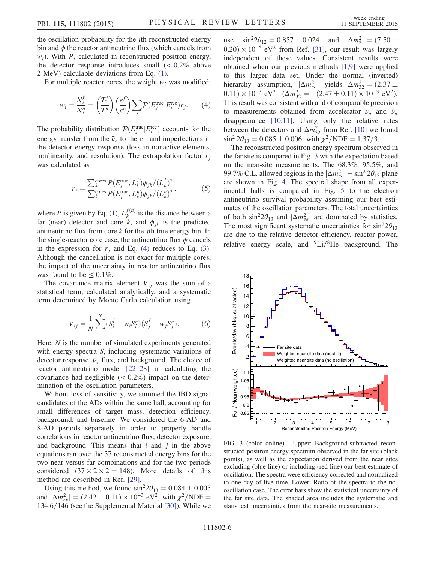the oscillation probability for the ith reconstructed energy bin and  $\phi$  the reactor antineutrino flux (which cancels from  $w_i$ ). With  $P_i$  calculated in reconstructed positron energy, the detector response introduces small  $\approx 0.2\%$  above 2 MeV) calculable deviations from Eq. [\(1\).](#page-4-1)

<span id="page-5-0"></span>For multiple reactor cores, the weight  $w_i$  was modified:

$$
w_i = \frac{N_i^f}{N_i^n} = \left(\frac{T^f}{T^n}\right) \left(\frac{e^f}{e^n}\right) \sum_j \mathcal{P}(E_j^{\text{true}} | E_i^{\text{rec}}) r_j. \tag{4}
$$

The probability distribution  $\mathcal{P}(E_j^{\text{true}} | E_i^{\text{rec}})$  accounts for the energy transfer from the  $\bar{\nu}_e$  to the  $e^+$  and imperfections in the detector energy response (loss in nonactive elements, nonlinearity, and resolution). The extrapolation factor  $r_i$ was calculated as

$$
r_{j} = \frac{\sum_{k}^{\text{cores}} P(E_{j}^{\text{true}}, L_{k}^{f}) \phi_{jk} / (L_{k}^{f})^{2}}{\sum_{k}^{\text{cores}} P(E_{j}^{\text{true}}, L_{k}^{n}) \phi_{jk} / (L_{k}^{n})^{2}},
$$
(5)

where P is given by Eq. [\(1\),](#page-4-1)  $L_k^{f(n)}$  is the distance between a far (near) detector and core k, and  $\phi_{ik}$  is the predicted antineutrino flux from core  $k$  for the *j*th true energy bin. In the single-reactor core case, the antineutrino flux  $\phi$  cancels in the expression for  $r_i$  and Eq. [\(4\)](#page-5-0) reduces to Eq. [\(3\)](#page-4-2). Although the cancellation is not exact for multiple cores, the impact of the uncertainty in reactor antineutrino flux was found to be  $\leq 0.1\%$ .

The covariance matrix element  $V_{ij}$  was the sum of a statistical term, calculated analytically, and a systematic term determined by Monte Carlo calculation using

$$
V_{ij} = \frac{1}{N} \sum_{j}^{N} (S_i^f - w_i S_i^n)(S_j^f - w_j S_j^n). \tag{6}
$$

Here,  $N$  is the number of simulated experiments generated with energy spectra S, including systematic variations of detector response,  $\bar{\nu}_e$  flux, and background. The choice of reactor antineutrino model [\[22](#page-7-8)–28] in calculating the covariance had negligible  $(< 0.2\%)$  impact on the determination of the oscillation parameters.

Without loss of sensitivity, we summed the IBD signal candidates of the ADs within the same hall, accounting for small differences of target mass, detection efficiency, background, and baseline. We considered the 6-AD and 8-AD periods separately in order to properly handle correlations in reactor antineutrino flux, detector exposure, and background. This means that  $i$  and  $j$  in the above equations ran over the 37 reconstructed energy bins for the two near versus far combinations and for the two periods considered  $(37 \times 2 \times 2 = 148)$ . More details of this method are described in Ref. [\[29\].](#page-7-9)

Using this method, we found  $\sin^2 2\theta_{13} = 0.084 \pm 0.005$ and  $|\Delta m_{ee}^2| = (2.42 \pm 0.11) \times 10^{-3} \text{ eV}^2$ , with  $\chi^2/\text{NDF} =$  $134.6/146$  (see the Supplemental Material [\[30\]](#page-7-10)). While we

use  $\sin^2 2\theta_{12} = 0.857 \pm 0.024$  and  $\Delta m_{21}^2 = (7.50 \pm 0.024)$  $(0.20) \times 10^{-5}$  eV<sup>2</sup> from Ref. [\[31\]](#page-7-11), our result was largely independent of these values. Consistent results were obtained when our previous methods [\[1,9\]](#page-6-0) were applied to this larger data set. Under the normal (inverted) hierarchy assumption,  $|\Delta m_{ee}^2|$  yields  $\Delta m_{32}^2 = (2.37 \pm$  $(0.11) \times 10^{-3} \text{ eV}^2$   $(\Delta m_{32}^2 = -(2.47 \pm 0.11) \times 10^{-3} \text{ eV}^2)$ . This result was consistent with and of comparable precision to measurements obtained from accelerator  $\nu_{\mu}$  and  $\bar{\nu}_{\mu}$ disappearance [\[10,11\].](#page-7-1) Using only the relative rates between the detectors and  $\Delta m_{32}^2$  from Ref. [\[10\]](#page-7-1) we found  $\sin^2 2\theta_{13} = 0.085 \pm 0.006$ , with  $\chi^2/\text{NDF} = 1.37/3$ .

The reconstructed positron energy spectrum observed in the far site is compared in Fig. [3](#page-5-1) with the expectation based on the near-site measurements. The 68.3%, 95.5%, and 99.7% C.L. allowed regions in the  $\left|\Delta m_{ee}^2\right| - \sin^2 2\theta_{13}$  plane are shown in Fig. [4](#page-6-5). The spectral shape from all experimental halls is compared in Fig. [5](#page-6-6) to the electron antineutrino survival probability assuming our best estimates of the oscillation parameters. The total uncertainties of both  $\sin^2 2\theta_{13}$  and  $|\Delta m_{ee}^2|$  are dominated by statistics. The most significant systematic uncertainties for  $\sin^2 2\theta_{13}$ are due to the relative detector efficiency, reactor power, relative energy scale, and  ${}^{9}$ Li/ ${}^{8}$ He background. The

<span id="page-5-1"></span>

FIG. 3 (color online). Upper: Background-subtracted reconstructed positron energy spectrum observed in the far site (black points), as well as the expectation derived from the near sites excluding (blue line) or including (red line) our best estimate of oscillation. The spectra were efficiency corrected and normalized to one day of live time. Lower: Ratio of the spectra to the nooscillation case. The error bars show the statistical uncertainty of the far site data. The shaded area includes the systematic and statistical uncertainties from the near-site measurements.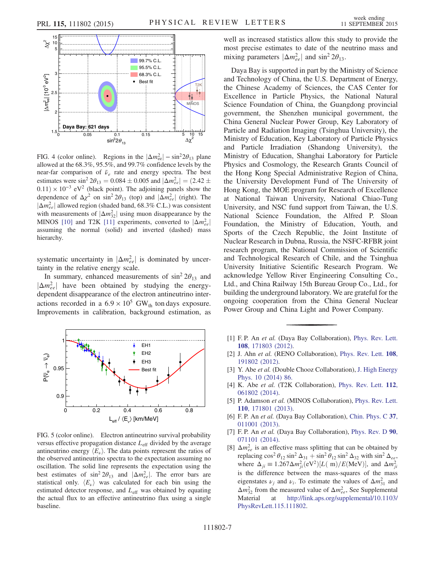<span id="page-6-5"></span>

FIG. 4 (color online). Regions in the  $|\Delta m_{\text{ee}}^2| - \sin^2 2\theta_{13}$  plane allowed at the 68.3%, 95.5%, and 99.7% confidence levels by the near-far comparison of  $\bar{\nu}_e$  rate and energy spectra. The best estimates were  $\sin^2 2\theta_{13} = 0.084 \pm 0.005$  and  $|\Delta m_{ee}^2| = (2.42 \pm 1.005)$  $(0.11) \times 10^{-3}$  eV<sup>2</sup> (black point). The adjoining panels show the dependence of  $\Delta \chi^2$  on sin<sup>2</sup> 2 $\theta_{13}$  (top) and  $|\Delta m_{ee}^2|$  (right). The  $|\Delta m_{ee}^2|$  allowed region (shaded band, 68.3% C.L.) was consistent with measurements of  $|\Delta m_{32}^2|$  using muon disappearance by the MINOS [\[10\]](#page-7-1) and T2K [\[11\]](#page-7-12) experiments, converted to  $|\Delta m_{ee}^2|$ assuming the normal (solid) and inverted (dashed) mass hierarchy.

systematic uncertainty in  $|\Delta m_{ee}^2|$  is dominated by uncertainty in the relative energy scale.

In summary, enhanced measurements of  $\sin^2 2\theta_{13}$  and  $|\Delta m_{ee}^2|$  have been obtained by studying the energydependent disappearance of the electron antineutrino interactions recorded in a  $6.9 \times 10^5$  GW<sub>th</sub> ton days exposure. Improvements in calibration, background estimation, as

<span id="page-6-6"></span>

FIG. 5 (color online). Electron antineutrino survival probability versus effective propagation distance  $L_{\text{eff}}$  divided by the average antineutrino energy  $\langle E_\nu \rangle$ . The data points represent the ratios of the observed antineutrino spectra to the expectation assuming no oscillation. The solid line represents the expectation using the best estimates of  $\sin^2 2\theta_{13}$  and  $|\Delta m_{ee}^2|$ . The error bars are statistical only.  $\langle E_\nu \rangle$  was calculated for each bin using the estimated detector response, and  $L_{\text{eff}}$  was obtained by equating the actual flux to an effective antineutrino flux using a single baseline.

well as increased statistics allow this study to provide the most precise estimates to date of the neutrino mass and mixing parameters  $|\Delta m_{ee}^2|$  and sin<sup>2</sup> 2 $\theta_{13}$ .

Daya Bay is supported in part by the Ministry of Science and Technology of China, the U.S. Department of Energy, the Chinese Academy of Sciences, the CAS Center for Excellence in Particle Physics, the National Natural Science Foundation of China, the Guangdong provincial government, the Shenzhen municipal government, the China General Nuclear Power Group, Key Laboratory of Particle and Radiation Imaging (Tsinghua University), the Ministry of Education, Key Laboratory of Particle Physics and Particle Irradiation (Shandong University), the Ministry of Education, Shanghai Laboratory for Particle Physics and Cosmology, the Research Grants Council of the Hong Kong Special Administrative Region of China, the University Development Fund of The University of Hong Kong, the MOE program for Research of Excellence at National Taiwan University, National Chiao-Tung University, and NSC fund support from Taiwan, the U.S. National Science Foundation, the Alfred P. Sloan Foundation, the Ministry of Education, Youth, and Sports of the Czech Republic, the Joint Institute of Nuclear Research in Dubna, Russia, the NSFC-RFBR joint research program, the National Commission of Scientific and Technological Research of Chile, and the Tsinghua University Initiative Scientific Research Program. We acknowledge Yellow River Engineering Consulting Co., Ltd., and China Railway 15th Bureau Group Co., Ltd., for building the underground laboratory. We are grateful for the ongoing cooperation from the China General Nuclear Power Group and China Light and Power Company.

- <span id="page-6-0"></span>[1] F.P. An et al. (Daya Bay Collaboration), [Phys. Rev. Lett.](http://dx.doi.org/10.1103/PhysRevLett.108.171803) 108[, 171803 \(2012\).](http://dx.doi.org/10.1103/PhysRevLett.108.171803)
- [2] J. Ahn et al. (RENO Collaboration), [Phys. Rev. Lett.](http://dx.doi.org/10.1103/PhysRevLett.108.191802) 108, [191802 \(2012\).](http://dx.doi.org/10.1103/PhysRevLett.108.191802)
- <span id="page-6-4"></span>[3] Y. Abe et al. (Double Chooz Collaboration), [J. High Energy](http://dx.doi.org/10.1007/JHEP10(2014)086) [Phys. 10 \(2014\) 86.](http://dx.doi.org/10.1007/JHEP10(2014)086)
- <span id="page-6-1"></span>[4] K. Abe et al. (T2K Collaboration), [Phys. Rev. Lett.](http://dx.doi.org/10.1103/PhysRevLett.112.061802) 112, [061802 \(2014\).](http://dx.doi.org/10.1103/PhysRevLett.112.061802)
- [5] P. Adamson et al. (MINOS Collaboration), [Phys. Rev. Lett.](http://dx.doi.org/10.1103/PhysRevLett.110.171801) 110[, 171801 \(2013\).](http://dx.doi.org/10.1103/PhysRevLett.110.171801)
- <span id="page-6-3"></span>[6] F. P. An et al. (Daya Bay Collaboration), [Chin. Phys. C](http://dx.doi.org/10.1088/1674-1137/37/1/011001) 37, [011001 \(2013\).](http://dx.doi.org/10.1088/1674-1137/37/1/011001)
- [7] F. P. An et al. (Daya Bay Collaboration), [Phys. Rev. D](http://dx.doi.org/10.1103/PhysRevD.90.071101) 90, [071101 \(2014\).](http://dx.doi.org/10.1103/PhysRevD.90.071101)
- <span id="page-6-2"></span>[8]  $\Delta m_{ee}^2$  is an effective mass splitting that can be obtained by replacing  $\cos^2 \theta_{12} \sin^2 \Delta_{31} + \sin^2 \theta_{12} \sin^2 \Delta_{32}$  with  $\sin^2 \Delta_{ee}$ , where  $\Delta_{ji} \equiv 1.267 \Delta m_{ji}^2 \text{(eV}^2) [L \text{(m)}/E \text{(MeV)}]$ , and  $\Delta m_{ji}^2$ is the difference between the mass-squares of the mass eigenstates  $\nu_j$  and  $\nu_i$ . To estimate the values of  $\Delta m_{31}^2$  and  $\Delta m_{32}^2$  from the measured value of  $\Delta m_{ee}^2$ , See Supplemental Material at [http://link.aps.org/supplemental/10.1103/](http://link.aps.org/supplemental/10.1103/PhysRevLett.115.111802) [PhysRevLett.115.111802.](http://link.aps.org/supplemental/10.1103/PhysRevLett.115.111802)